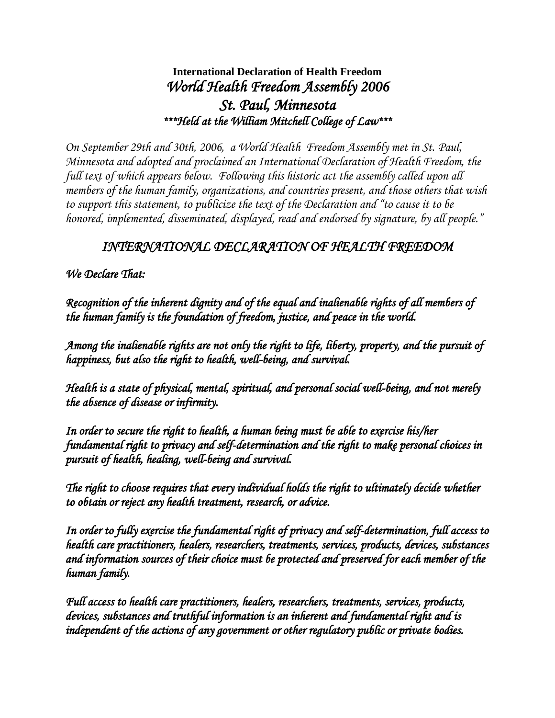**International Declaration of Health Freedom** *World Health Freedom Assembly 2006 St. Paul, Minnesota \*\*\*Held at the William Mitchell College of Law\*\*\** 

*On September 29th and 30th, 2006, a World Health Freedom Assembly met in St. Paul, Minnesota and adopted and proclaimed an International Declaration of Health Freedom, the full text of which appears below. Following this historic act the assembly called upon all members of the human family, organizations, and countries present, and those others that wish to support this statement, to publicize the text of the Declaration and "to cause it to be honored, implemented, disseminated, displayed, read and endorsed by signature, by all people."*

## *INTERNATIONAL DECLARATION OF HEALTH FREEDOM*

*We Declare That:* 

*Recognition of the inherent dignity and of the equal and inalienable rights of all members of the human family is the foundation of freedom, justice, and peace in the world.* 

*Among the inalienable rights are not only the right to life, liberty, property, and the pursuit of happiness, but also the right to health, well-being, and survival.* 

*Health is a state of physical, mental, spiritual, and personal social well-being, and not merely the absence of disease or infirmity.* 

*In order to secure the right to health, a human being must be able to exercise his/her fundamental right to privacy and self-determination and the right to make personal choices in pursuit of health, healing, well-being and survival.* 

*The right to choose requires that every individual holds the right to ultimately decide whether to obtain or reject any health treatment, research, or advice.* 

*In order to fully exercise the fundamental right of privacy and self-determination, full access to health care practitioners, healers, researchers, treatments, services, products, devices, substances and information sources of their choice must be protected and preserved for each member of the human family.* 

*Full access to health care practitioners, healers, researchers, treatments, services, products, devices, substances and truthful information is an inherent and fundamental right and is independent of the actions of any government or other regulatory public or private bodies.*